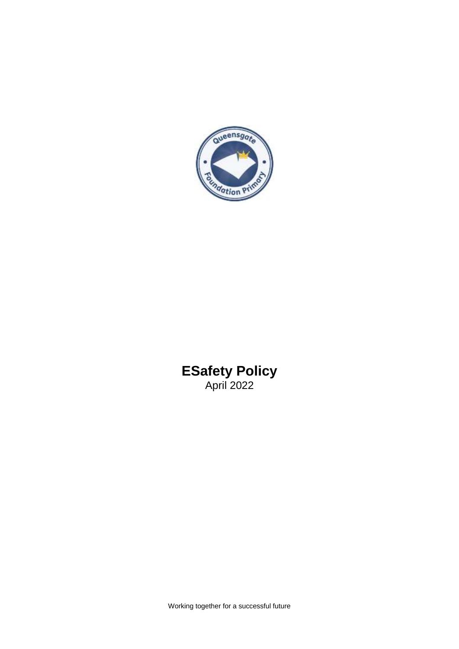

# **ESafety Policy** April 2022

Working together for a successful future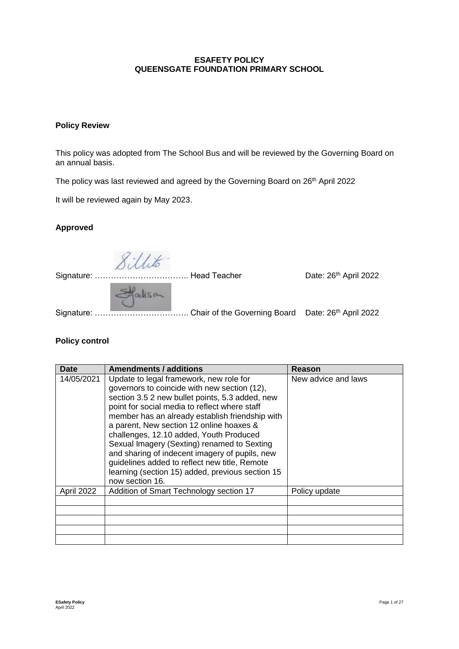# **ESAFETY POLICY QUEENSGATE FOUNDATION PRIMARY SCHOOL**

# **Policy Review**

This policy was adopted from The School Bus and will be reviewed by the Governing Board on an annual basis.

The policy was last reviewed and agreed by the Governing Board on 26<sup>th</sup> April 2022

It will be reviewed again by May 2023.

# **Approved**

Sillito.

Signature: …………………………….. Head Teacher Date: 26th April 2022

Staksan

Signature: …………………………….. Chair of the Governing Board Date: 26th April 2022

**Policy control** 

| Date       | Amendments / additions                                                                                                                                                                                                                                                                                                                                                                                                                                                                                                                                         | Reason              |
|------------|----------------------------------------------------------------------------------------------------------------------------------------------------------------------------------------------------------------------------------------------------------------------------------------------------------------------------------------------------------------------------------------------------------------------------------------------------------------------------------------------------------------------------------------------------------------|---------------------|
| 14/05/2021 | Update to legal framework, new role for<br>governors to coincide with new section (12),<br>section 3.5 2 new bullet points, 5.3 added, new<br>point for social media to reflect where staff<br>member has an already establish friendship with<br>a parent, New section 12 online hoaxes &<br>challenges, 12.10 added, Youth Produced<br>Sexual Imagery (Sexting) renamed to Sexting<br>and sharing of indecent imagery of pupils, new<br>guidelines added to reflect new title, Remote<br>learning (section 15) added, previous section 15<br>now section 16. | New advice and laws |
| April 2022 | Addition of Smart Technology section 17                                                                                                                                                                                                                                                                                                                                                                                                                                                                                                                        | Policy update       |
|            |                                                                                                                                                                                                                                                                                                                                                                                                                                                                                                                                                                |                     |
|            |                                                                                                                                                                                                                                                                                                                                                                                                                                                                                                                                                                |                     |
|            |                                                                                                                                                                                                                                                                                                                                                                                                                                                                                                                                                                |                     |
|            |                                                                                                                                                                                                                                                                                                                                                                                                                                                                                                                                                                |                     |
|            |                                                                                                                                                                                                                                                                                                                                                                                                                                                                                                                                                                |                     |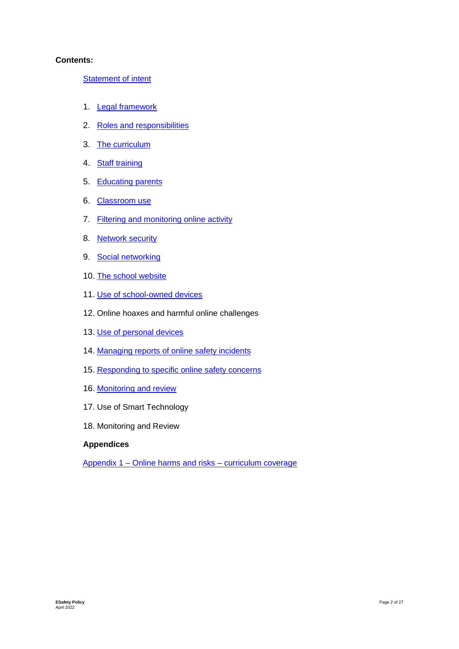#### **Contents:**

**Statement of intent** 

- 1. Legal framework
- 2. Roles and responsibilities
- 3. The curriculum
- 4. Staff training
- 5. Educating parents
- 6. Classroom use
- 7. Filtering and monitoring online activity
- 8. Network security
- 9. Social networking
- 10. The school website
- 11. Use of school-owned devices
- 12. Online hoaxes and harmful online challenges
- 13. Use of personal devices
- 14. Managing reports of online safety incidents
- 15. Responding to specific online safety concerns
- 16. Monitoring and review
- 17. Use of Smart Technology
- 18. Monitoring and Review

#### **Appendices**

Appendix 1 – Online harms and risks – curriculum coverage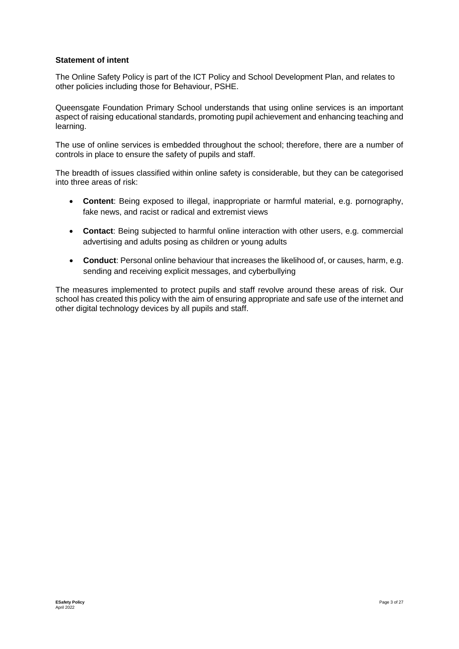#### **Statement of intent**

The Online Safety Policy is part of the ICT Policy and School Development Plan, and relates to other policies including those for Behaviour, PSHE.

Queensgate Foundation Primary School understands that using online services is an important aspect of raising educational standards, promoting pupil achievement and enhancing teaching and learning.

The use of online services is embedded throughout the school; therefore, there are a number of controls in place to ensure the safety of pupils and staff.

The breadth of issues classified within online safety is considerable, but they can be categorised into three areas of risk:

- **Content**: Being exposed to illegal, inappropriate or harmful material, e.g. pornography, fake news, and racist or radical and extremist views
- **Contact**: Being subjected to harmful online interaction with other users, e.g. commercial advertising and adults posing as children or young adults
- **Conduct**: Personal online behaviour that increases the likelihood of, or causes, harm, e.g. sending and receiving explicit messages, and cyberbullying

The measures implemented to protect pupils and staff revolve around these areas of risk. Our school has created this policy with the aim of ensuring appropriate and safe use of the internet and other digital technology devices by all pupils and staff.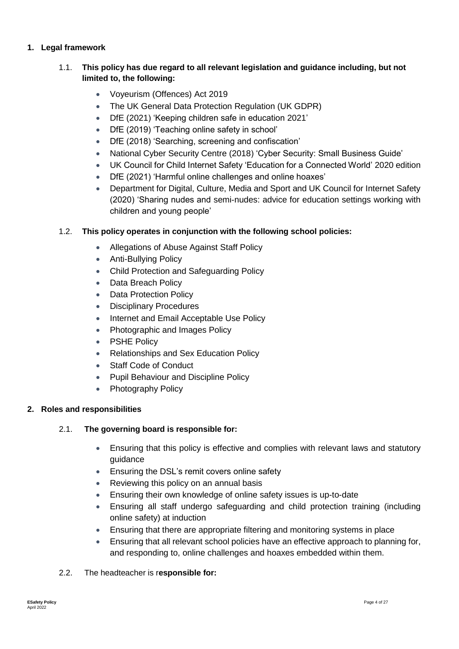# **1. Legal framework**

# 1.1. **This policy has due regard to all relevant legislation and guidance including, but not limited to, the following:**

- Voyeurism (Offences) Act 2019
- The UK General Data Protection Regulation (UK GDPR)
- DfE (2021) 'Keeping children safe in education 2021'
- DfE (2019) 'Teaching online safety in school'
- DfE (2018) 'Searching, screening and confiscation'
- National Cyber Security Centre (2018) 'Cyber Security: Small Business Guide'
- UK Council for Child Internet Safety 'Education for a Connected World' 2020 edition
- DfE (2021) 'Harmful online challenges and online hoaxes'
- Department for Digital, Culture, Media and Sport and UK Council for Internet Safety (2020) 'Sharing nudes and semi-nudes: advice for education settings working with children and young people'

#### 1.2. **This policy operates in conjunction with the following school policies:**

- Allegations of Abuse Against Staff Policy
- Anti-Bullying Policy
- Child Protection and Safeguarding Policy
- Data Breach Policy
- Data Protection Policy
- Disciplinary Procedures
- Internet and Email Acceptable Use Policy
- Photographic and Images Policy
- PSHE Policy
- Relationships and Sex Education Policy
- Staff Code of Conduct
- Pupil Behaviour and Discipline Policy
- Photography Policy

# **2. Roles and responsibilities**

# 2.1. **The governing board is responsible for:**

- Ensuring that this policy is effective and complies with relevant laws and statutory guidance
- Ensuring the DSL's remit covers online safety
- Reviewing this policy on an annual basis
- Ensuring their own knowledge of online safety issues is up-to-date
- Ensuring all staff undergo safeguarding and child protection training (including online safety) at induction
- Ensuring that there are appropriate filtering and monitoring systems in place
- Ensuring that all relevant school policies have an effective approach to planning for, and responding to, online challenges and hoaxes embedded within them.
- 2.2. The headteacher is r**esponsible for:**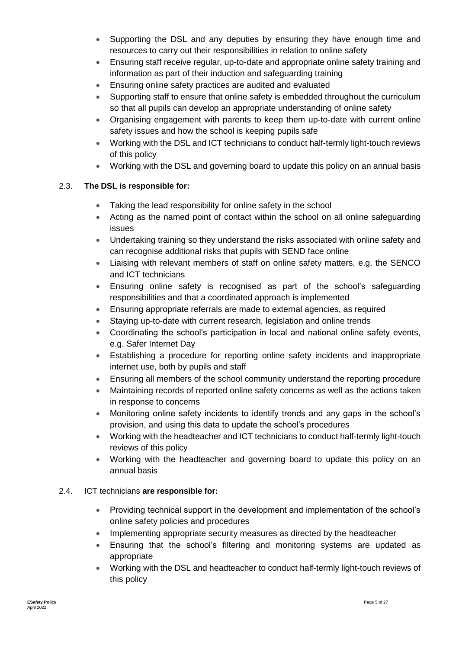- Supporting the DSL and any deputies by ensuring they have enough time and resources to carry out their responsibilities in relation to online safety
- Ensuring staff receive regular, up-to-date and appropriate online safety training and information as part of their induction and safeguarding training
- Ensuring online safety practices are audited and evaluated
- Supporting staff to ensure that online safety is embedded throughout the curriculum so that all pupils can develop an appropriate understanding of online safety
- Organising engagement with parents to keep them up-to-date with current online safety issues and how the school is keeping pupils safe
- Working with the DSL and ICT technicians to conduct half-termly light-touch reviews of this policy
- Working with the DSL and governing board to update this policy on an annual basis

# 2.3. **The DSL is responsible for:**

- Taking the lead responsibility for online safety in the school
- Acting as the named point of contact within the school on all online safeguarding issues
- Undertaking training so they understand the risks associated with online safety and can recognise additional risks that pupils with SEND face online
- Liaising with relevant members of staff on online safety matters, e.g. the SENCO and ICT technicians
- Ensuring online safety is recognised as part of the school's safeguarding responsibilities and that a coordinated approach is implemented
- Ensuring appropriate referrals are made to external agencies, as required
- Staying up-to-date with current research, legislation and online trends
- Coordinating the school's participation in local and national online safety events, e.g. Safer Internet Day
- Establishing a procedure for reporting online safety incidents and inappropriate internet use, both by pupils and staff
- Ensuring all members of the school community understand the reporting procedure
- Maintaining records of reported online safety concerns as well as the actions taken in response to concerns
- Monitoring online safety incidents to identify trends and any gaps in the school's provision, and using this data to update the school's procedures
- Working with the headteacher and ICT technicians to conduct half-termly light-touch reviews of this policy
- Working with the headteacher and governing board to update this policy on an annual basis

# 2.4. ICT technicians **are responsible for:**

- Providing technical support in the development and implementation of the school's online safety policies and procedures
- Implementing appropriate security measures as directed by the headteacher
- Ensuring that the school's filtering and monitoring systems are updated as appropriate
- Working with the DSL and headteacher to conduct half-termly light-touch reviews of this policy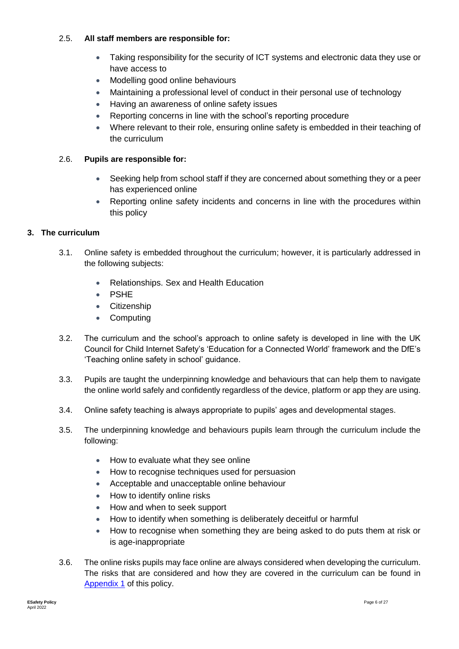# 2.5. **All staff members are responsible for:**

- Taking responsibility for the security of ICT systems and electronic data they use or have access to
- Modelling good online behaviours
- Maintaining a professional level of conduct in their personal use of technology
- Having an awareness of online safety issues
- Reporting concerns in line with the school's reporting procedure
- Where relevant to their role, ensuring online safety is embedded in their teaching of the curriculum

# 2.6. **Pupils are responsible for:**

- Seeking help from school staff if they are concerned about something they or a peer has experienced online
- Reporting online safety incidents and concerns in line with the procedures within this policy

# **3. The curriculum**

- 3.1. Online safety is embedded throughout the curriculum; however, it is particularly addressed in the following subjects:
	- Relationships. Sex and Health Education
	- PSHE
	- **•** Citizenship
	- **Computing**
- 3.2. The curriculum and the school's approach to online safety is developed in line with the UK Council for Child Internet Safety's 'Education for a Connected World' framework and the DfE's 'Teaching online safety in school' guidance.
- 3.3. Pupils are taught the underpinning knowledge and behaviours that can help them to navigate the online world safely and confidently regardless of the device, platform or app they are using.
- 3.4. Online safety teaching is always appropriate to pupils' ages and developmental stages.
- 3.5. The underpinning knowledge and behaviours pupils learn through the curriculum include the following:
	- How to evaluate what they see online
	- How to recognise techniques used for persuasion
	- Acceptable and unacceptable online behaviour
	- How to identify online risks
	- How and when to seek support
	- How to identify when something is deliberately deceitful or harmful
	- How to recognise when something they are being asked to do puts them at risk or is age-inappropriate
- 3.6. The online risks pupils may face online are always considered when developing the curriculum. The risks that are considered and how they are covered in the curriculum can be found in Appendix 1 of this policy.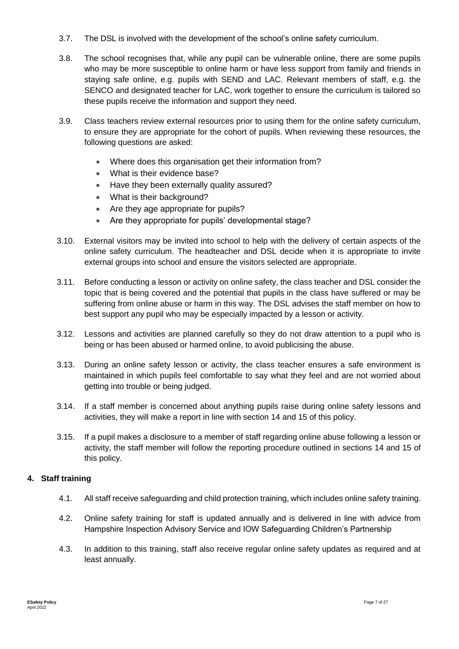- 3.7. The DSL is involved with the development of the school's online safety curriculum.
- 3.8. The school recognises that, while any pupil can be vulnerable online, there are some pupils who may be more susceptible to online harm or have less support from family and friends in staying safe online, e.g. pupils with SEND and LAC. Relevant members of staff, e.g. the SENCO and designated teacher for LAC, work together to ensure the curriculum is tailored so these pupils receive the information and support they need.
- 3.9. Class teachers review external resources prior to using them for the online safety curriculum, to ensure they are appropriate for the cohort of pupils. When reviewing these resources, the following questions are asked:
	- Where does this organisation get their information from?
	- What is their evidence base?
	- Have they been externally quality assured?
	- What is their background?
	- Are they age appropriate for pupils?
	- Are they appropriate for pupils' developmental stage?
- 3.10. External visitors may be invited into school to help with the delivery of certain aspects of the online safety curriculum. The headteacher and DSL decide when it is appropriate to invite external groups into school and ensure the visitors selected are appropriate.
- 3.11. Before conducting a lesson or activity on online safety, the class teacher and DSL consider the topic that is being covered and the potential that pupils in the class have suffered or may be suffering from online abuse or harm in this way. The DSL advises the staff member on how to best support any pupil who may be especially impacted by a lesson or activity.
- 3.12. Lessons and activities are planned carefully so they do not draw attention to a pupil who is being or has been abused or harmed online, to avoid publicising the abuse.
- 3.13. During an online safety lesson or activity, the class teacher ensures a safe environment is maintained in which pupils feel comfortable to say what they feel and are not worried about getting into trouble or being judged.
- 3.14. If a staff member is concerned about anything pupils raise during online safety lessons and activities, they will make a report in line with section 14 and 15 of this policy.
- 3.15. If a pupil makes a disclosure to a member of staff regarding online abuse following a lesson or activity, the staff member will follow the reporting procedure outlined in sections 14 and 15 of this policy.

#### **4. Staff training**

- 4.1. All staff receive safeguarding and child protection training, which includes online safety training.
- 4.2. Online safety training for staff is updated annually and is delivered in line with advice from Hampshire Inspection Advisory Service and IOW Safeguarding Children's Partnership
- 4.3. In addition to this training, staff also receive regular online safety updates as required and at least annually.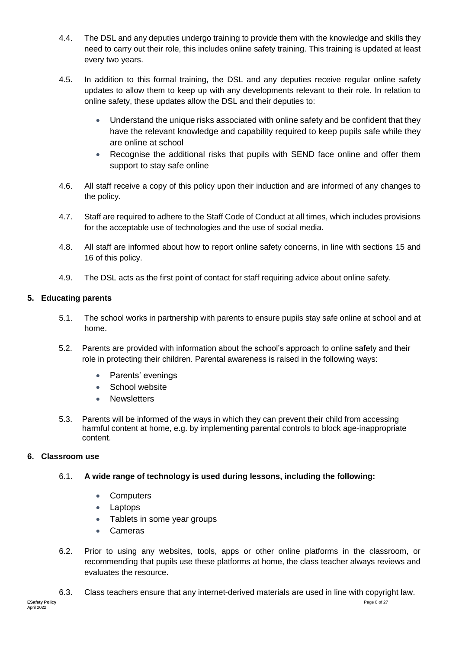- 4.4. The DSL and any deputies undergo training to provide them with the knowledge and skills they need to carry out their role, this includes online safety training. This training is updated at least every two years.
- 4.5. In addition to this formal training, the DSL and any deputies receive regular online safety updates to allow them to keep up with any developments relevant to their role. In relation to online safety, these updates allow the DSL and their deputies to:
	- Understand the unique risks associated with online safety and be confident that they have the relevant knowledge and capability required to keep pupils safe while they are online at school
	- Recognise the additional risks that pupils with SEND face online and offer them support to stay safe online
- 4.6. All staff receive a copy of this policy upon their induction and are informed of any changes to the policy.
- 4.7. Staff are required to adhere to the Staff Code of Conduct at all times, which includes provisions for the acceptable use of technologies and the use of social media.
- 4.8. All staff are informed about how to report online safety concerns, in line with sections 15 and 16 of this policy.
- 4.9. The DSL acts as the first point of contact for staff requiring advice about online safety.

# **5. Educating parents**

- 5.1. The school works in partnership with parents to ensure pupils stay safe online at school and at home.
- 5.2. Parents are provided with information about the school's approach to online safety and their role in protecting their children. Parental awareness is raised in the following ways:
	- Parents' evenings
	- School website
	- Newsletters
- 5.3. Parents will be informed of the ways in which they can prevent their child from accessing harmful content at home, e.g. by implementing parental controls to block age-inappropriate content.

# **6. Classroom use**

- 6.1. **A wide range of technology is used during lessons, including the following:** 
	- Computers
	- Laptops
	- Tablets in some year groups
	- Cameras
- 6.2. Prior to using any websites, tools, apps or other online platforms in the classroom, or recommending that pupils use these platforms at home, the class teacher always reviews and evaluates the resource.
- 6.3. Class teachers ensure that any internet-derived materials are used in line with copyright law.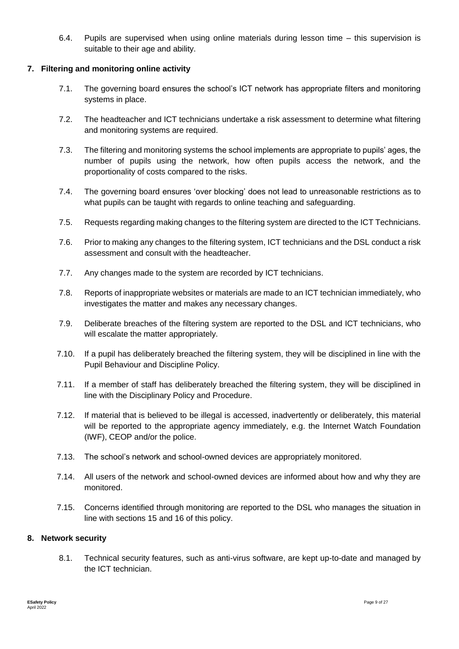6.4. Pupils are supervised when using online materials during lesson time – this supervision is suitable to their age and ability.

### **7. Filtering and monitoring online activity**

- 7.1. The governing board ensures the school's ICT network has appropriate filters and monitoring systems in place.
- 7.2. The headteacher and ICT technicians undertake a risk assessment to determine what filtering and monitoring systems are required.
- 7.3. The filtering and monitoring systems the school implements are appropriate to pupils' ages, the number of pupils using the network, how often pupils access the network, and the proportionality of costs compared to the risks.
- 7.4. The governing board ensures 'over blocking' does not lead to unreasonable restrictions as to what pupils can be taught with regards to online teaching and safeguarding.
- 7.5. Requests regarding making changes to the filtering system are directed to the ICT Technicians.
- 7.6. Prior to making any changes to the filtering system, ICT technicians and the DSL conduct a risk assessment and consult with the headteacher.
- 7.7. Any changes made to the system are recorded by ICT technicians.
- 7.8. Reports of inappropriate websites or materials are made to an ICT technician immediately, who investigates the matter and makes any necessary changes.
- 7.9. Deliberate breaches of the filtering system are reported to the DSL and ICT technicians, who will escalate the matter appropriately.
- 7.10. If a pupil has deliberately breached the filtering system, they will be disciplined in line with the Pupil Behaviour and Discipline Policy.
- 7.11. If a member of staff has deliberately breached the filtering system, they will be disciplined in line with the Disciplinary Policy and Procedure.
- 7.12. If material that is believed to be illegal is accessed, inadvertently or deliberately, this material will be reported to the appropriate agency immediately, e.g. the Internet Watch Foundation (IWF), CEOP and/or the police.
- 7.13. The school's network and school-owned devices are appropriately monitored.
- 7.14. All users of the network and school-owned devices are informed about how and why they are monitored.
- 7.15. Concerns identified through monitoring are reported to the DSL who manages the situation in line with sections 15 and 16 of this policy.

#### **8. Network security**

8.1. Technical security features, such as anti-virus software, are kept up-to-date and managed by the ICT technician.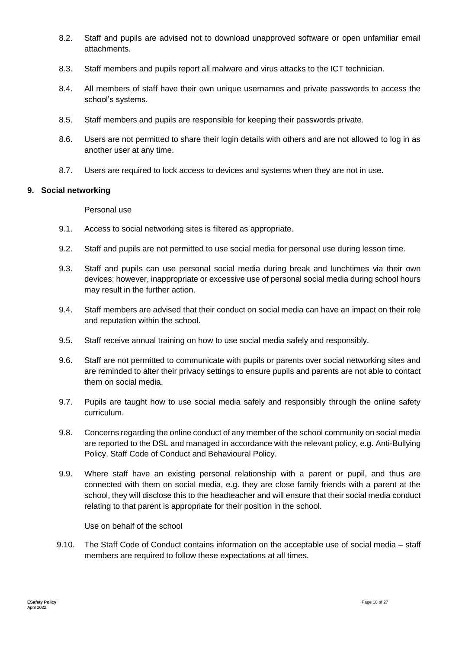- 8.2. Staff and pupils are advised not to download unapproved software or open unfamiliar email attachments.
- 8.3. Staff members and pupils report all malware and virus attacks to the ICT technician.
- 8.4. All members of staff have their own unique usernames and private passwords to access the school's systems.
- 8.5. Staff members and pupils are responsible for keeping their passwords private.
- 8.6. Users are not permitted to share their login details with others and are not allowed to log in as another user at any time.
- 8.7. Users are required to lock access to devices and systems when they are not in use.

#### **9. Social networking**

#### Personal use

- 9.1. Access to social networking sites is filtered as appropriate.
- 9.2. Staff and pupils are not permitted to use social media for personal use during lesson time.
- 9.3. Staff and pupils can use personal social media during break and lunchtimes via their own devices; however, inappropriate or excessive use of personal social media during school hours may result in the further action.
- 9.4. Staff members are advised that their conduct on social media can have an impact on their role and reputation within the school.
- 9.5. Staff receive annual training on how to use social media safely and responsibly.
- 9.6. Staff are not permitted to communicate with pupils or parents over social networking sites and are reminded to alter their privacy settings to ensure pupils and parents are not able to contact them on social media.
- 9.7. Pupils are taught how to use social media safely and responsibly through the online safety curriculum.
- 9.8. Concerns regarding the online conduct of any member of the school community on social media are reported to the DSL and managed in accordance with the relevant policy, e.g. Anti-Bullying Policy, Staff Code of Conduct and Behavioural Policy.
- 9.9. Where staff have an existing personal relationship with a parent or pupil, and thus are connected with them on social media, e.g. they are close family friends with a parent at the school, they will disclose this to the headteacher and will ensure that their social media conduct relating to that parent is appropriate for their position in the school.

Use on behalf of the school

9.10. The Staff Code of Conduct contains information on the acceptable use of social media – staff members are required to follow these expectations at all times.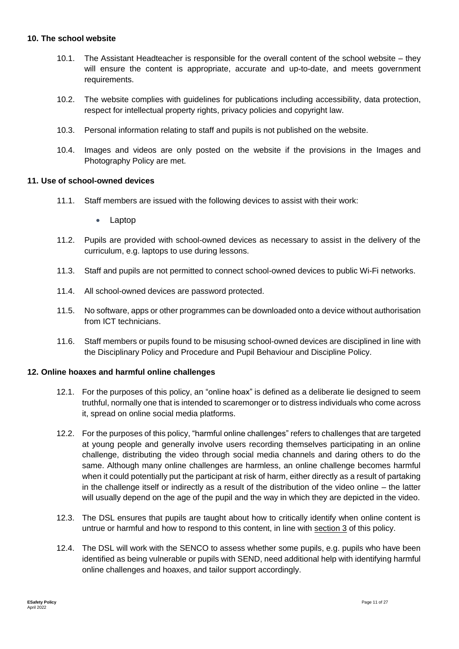# **10. The school website**

- 10.1. The Assistant Headteacher is responsible for the overall content of the school website they will ensure the content is appropriate, accurate and up-to-date, and meets government requirements.
- 10.2. The website complies with guidelines for publications including accessibility, data protection, respect for intellectual property rights, privacy policies and copyright law.
- 10.3. Personal information relating to staff and pupils is not published on the website.
- 10.4. Images and videos are only posted on the website if the provisions in the Images and Photography Policy are met.

#### **11. Use of school-owned devices**

- 11.1. Staff members are issued with the following devices to assist with their work:
	- Laptop
- 11.2. Pupils are provided with school-owned devices as necessary to assist in the delivery of the curriculum, e.g. laptops to use during lessons.
- 11.3. Staff and pupils are not permitted to connect school-owned devices to public Wi-Fi networks.
- 11.4. All school-owned devices are password protected.
- 11.5. No software, apps or other programmes can be downloaded onto a device without authorisation from ICT technicians.
- 11.6. Staff members or pupils found to be misusing school-owned devices are disciplined in line with the Disciplinary Policy and Procedure and Pupil Behaviour and Discipline Policy.

#### **12. Online hoaxes and harmful online challenges**

- 12.1. For the purposes of this policy, an "online hoax" is defined as a deliberate lie designed to seem truthful, normally one that is intended to scaremonger or to distress individuals who come across it, spread on online social media platforms.
- 12.2. For the purposes of this policy, "harmful online challenges" refers to challenges that are targeted at young people and generally involve users recording themselves participating in an online challenge, distributing the video through social media channels and daring others to do the same. Although many online challenges are harmless, an online challenge becomes harmful when it could potentially put the participant at risk of harm, either directly as a result of partaking in the challenge itself or indirectly as a result of the distribution of the video online – the latter will usually depend on the age of the pupil and the way in which they are depicted in the video.
- 12.3. The DSL ensures that pupils are taught about how to critically identify when online content is untrue or harmful and how to respond to this content, in line with section 3 of this policy.
- 12.4. The DSL will work with the SENCO to assess whether some pupils, e.g. pupils who have been identified as being vulnerable or pupils with SEND, need additional help with identifying harmful online challenges and hoaxes, and tailor support accordingly.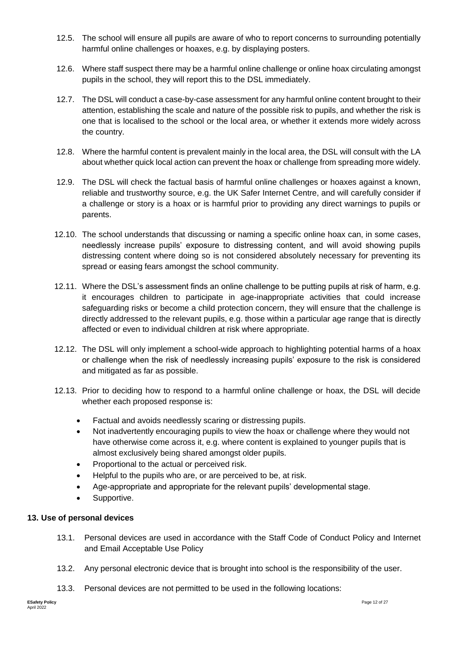- 12.5. The school will ensure all pupils are aware of who to report concerns to surrounding potentially harmful online challenges or hoaxes, e.g. by displaying posters.
- 12.6. Where staff suspect there may be a harmful online challenge or online hoax circulating amongst pupils in the school, they will report this to the DSL immediately.
- 12.7. The DSL will conduct a case-by-case assessment for any harmful online content brought to their attention, establishing the scale and nature of the possible risk to pupils, and whether the risk is one that is localised to the school or the local area, or whether it extends more widely across the country.
- 12.8. Where the harmful content is prevalent mainly in the local area, the DSL will consult with the LA about whether quick local action can prevent the hoax or challenge from spreading more widely.
- 12.9. The DSL will check the factual basis of harmful online challenges or hoaxes against a known, reliable and trustworthy source, e.g. the UK Safer Internet Centre, and will carefully consider if a challenge or story is a hoax or is harmful prior to providing any direct warnings to pupils or parents.
- 12.10. The school understands that discussing or naming a specific online hoax can, in some cases, needlessly increase pupils' exposure to distressing content, and will avoid showing pupils distressing content where doing so is not considered absolutely necessary for preventing its spread or easing fears amongst the school community.
- 12.11. Where the DSL's assessment finds an online challenge to be putting pupils at risk of harm, e.g. it encourages children to participate in age-inappropriate activities that could increase safeguarding risks or become a child protection concern, they will ensure that the challenge is directly addressed to the relevant pupils, e.g. those within a particular age range that is directly affected or even to individual children at risk where appropriate.
- 12.12. The DSL will only implement a school-wide approach to highlighting potential harms of a hoax or challenge when the risk of needlessly increasing pupils' exposure to the risk is considered and mitigated as far as possible.
- 12.13. Prior to deciding how to respond to a harmful online challenge or hoax, the DSL will decide whether each proposed response is:
	- Factual and avoids needlessly scaring or distressing pupils.
	- Not inadvertently encouraging pupils to view the hoax or challenge where they would not have otherwise come across it, e.g. where content is explained to younger pupils that is almost exclusively being shared amongst older pupils.
	- Proportional to the actual or perceived risk.
	- Helpful to the pupils who are, or are perceived to be, at risk.
	- Age-appropriate and appropriate for the relevant pupils' developmental stage.
	- Supportive.

# **13. Use of personal devices**

- 13.1. Personal devices are used in accordance with the Staff Code of Conduct Policy and Internet and Email Acceptable Use Policy
- 13.2. Any personal electronic device that is brought into school is the responsibility of the user.
- 13.3. Personal devices are not permitted to be used in the following locations: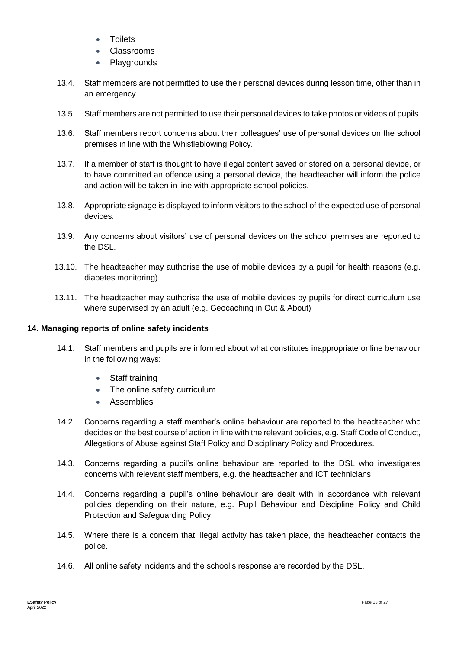- **Toilets**
- Classrooms
- **Playgrounds**
- 13.4. Staff members are not permitted to use their personal devices during lesson time, other than in an emergency.
- 13.5. Staff members are not permitted to use their personal devices to take photos or videos of pupils.
- 13.6. Staff members report concerns about their colleagues' use of personal devices on the school premises in line with the Whistleblowing Policy.
- 13.7. If a member of staff is thought to have illegal content saved or stored on a personal device, or to have committed an offence using a personal device, the headteacher will inform the police and action will be taken in line with appropriate school policies.
- 13.8. Appropriate signage is displayed to inform visitors to the school of the expected use of personal devices.
- 13.9. Any concerns about visitors' use of personal devices on the school premises are reported to the DSL.
- 13.10. The headteacher may authorise the use of mobile devices by a pupil for health reasons (e.g. diabetes monitoring).
- 13.11. The headteacher may authorise the use of mobile devices by pupils for direct curriculum use where supervised by an adult (e.g. Geocaching in Out & About)

# **14. Managing reports of online safety incidents**

- 14.1. Staff members and pupils are informed about what constitutes inappropriate online behaviour in the following ways:
	- Staff training
	- The online safety curriculum
	- **Assemblies**
- 14.2. Concerns regarding a staff member's online behaviour are reported to the headteacher who decides on the best course of action in line with the relevant policies, e.g. Staff Code of Conduct, Allegations of Abuse against Staff Policy and Disciplinary Policy and Procedures.
- 14.3. Concerns regarding a pupil's online behaviour are reported to the DSL who investigates concerns with relevant staff members, e.g. the headteacher and ICT technicians.
- 14.4. Concerns regarding a pupil's online behaviour are dealt with in accordance with relevant policies depending on their nature, e.g. Pupil Behaviour and Discipline Policy and Child Protection and Safeguarding Policy.
- 14.5. Where there is a concern that illegal activity has taken place, the headteacher contacts the police.
- 14.6. All online safety incidents and the school's response are recorded by the DSL.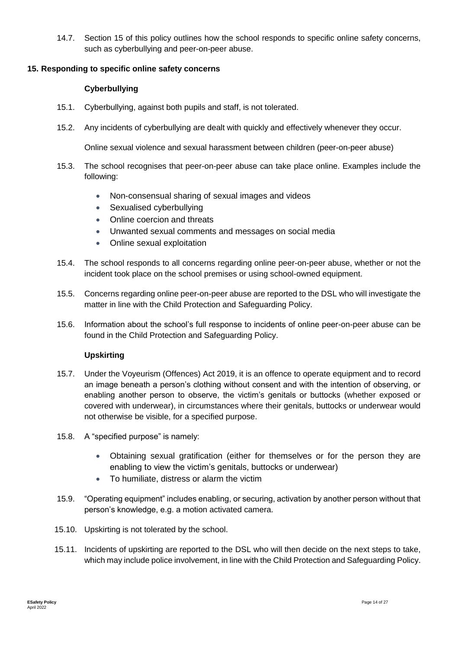14.7. Section 15 of this policy outlines how the school responds to specific online safety concerns, such as cyberbullying and peer-on-peer abuse.

#### **15. Responding to specific online safety concerns**

#### **Cyberbullying**

- 15.1. Cyberbullying, against both pupils and staff, is not tolerated.
- 15.2. Any incidents of cyberbullying are dealt with quickly and effectively whenever they occur.

Online sexual violence and sexual harassment between children (peer-on-peer abuse)

- 15.3. The school recognises that peer-on-peer abuse can take place online. Examples include the following:
	- Non-consensual sharing of sexual images and videos
	- Sexualised cyberbullying
	- Online coercion and threats
	- Unwanted sexual comments and messages on social media
	- Online sexual exploitation
- 15.4. The school responds to all concerns regarding online peer-on-peer abuse, whether or not the incident took place on the school premises or using school-owned equipment.
- 15.5. Concerns regarding online peer-on-peer abuse are reported to the DSL who will investigate the matter in line with the Child Protection and Safeguarding Policy.
- 15.6. Information about the school's full response to incidents of online peer-on-peer abuse can be found in the Child Protection and Safeguarding Policy.

# **Upskirting**

- 15.7. Under the Voyeurism (Offences) Act 2019, it is an offence to operate equipment and to record an image beneath a person's clothing without consent and with the intention of observing, or enabling another person to observe, the victim's genitals or buttocks (whether exposed or covered with underwear), in circumstances where their genitals, buttocks or underwear would not otherwise be visible, for a specified purpose.
- 15.8. A "specified purpose" is namely:
	- Obtaining sexual gratification (either for themselves or for the person they are enabling to view the victim's genitals, buttocks or underwear)
	- To humiliate, distress or alarm the victim
- 15.9. "Operating equipment" includes enabling, or securing, activation by another person without that person's knowledge, e.g. a motion activated camera.
- 15.10. Upskirting is not tolerated by the school.
- 15.11. Incidents of upskirting are reported to the DSL who will then decide on the next steps to take, which may include police involvement, in line with the Child Protection and Safeguarding Policy.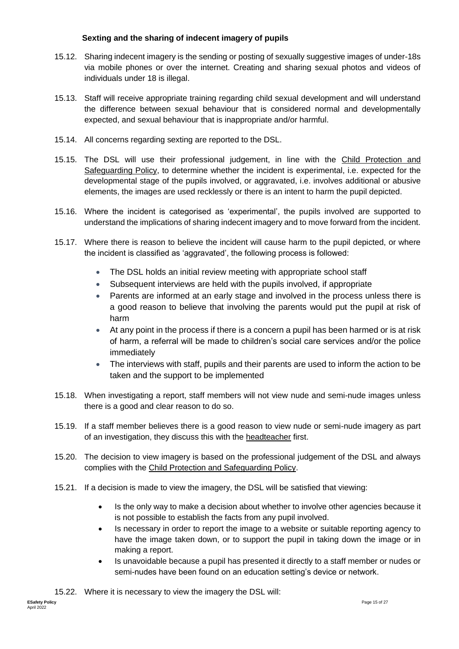# **Sexting and the sharing of indecent imagery of pupils**

- 15.12. Sharing indecent imagery is the sending or posting of sexually suggestive images of under-18s via mobile phones or over the internet. Creating and sharing sexual photos and videos of individuals under 18 is illegal.
- 15.13. Staff will receive appropriate training regarding child sexual development and will understand the difference between sexual behaviour that is considered normal and developmentally expected, and sexual behaviour that is inappropriate and/or harmful.
- 15.14. All concerns regarding sexting are reported to the DSL.
- 15.15. The DSL will use their professional judgement, in line with the Child Protection and Safeguarding Policy, to determine whether the incident is experimental, i.e. expected for the developmental stage of the pupils involved, or aggravated, i.e. involves additional or abusive elements, the images are used recklessly or there is an intent to harm the pupil depicted.
- 15.16. Where the incident is categorised as 'experimental', the pupils involved are supported to understand the implications of sharing indecent imagery and to move forward from the incident.
- 15.17. Where there is reason to believe the incident will cause harm to the pupil depicted, or where the incident is classified as 'aggravated', the following process is followed:
	- The DSL holds an initial review meeting with appropriate school staff
	- Subsequent interviews are held with the pupils involved, if appropriate
	- Parents are informed at an early stage and involved in the process unless there is a good reason to believe that involving the parents would put the pupil at risk of harm
	- At any point in the process if there is a concern a pupil has been harmed or is at risk of harm, a referral will be made to children's social care services and/or the police immediately
	- The interviews with staff, pupils and their parents are used to inform the action to be taken and the support to be implemented
- 15.18. When investigating a report, staff members will not view nude and semi-nude images unless there is a good and clear reason to do so.
- 15.19. If a staff member believes there is a good reason to view nude or semi-nude imagery as part of an investigation, they discuss this with the headteacher first.
- 15.20. The decision to view imagery is based on the professional judgement of the DSL and always complies with the Child Protection and Safeguarding Policy.
- 15.21. If a decision is made to view the imagery, the DSL will be satisfied that viewing:
	- Is the only way to make a decision about whether to involve other agencies because it is not possible to establish the facts from any pupil involved.
	- Is necessary in order to report the image to a website or suitable reporting agency to have the image taken down, or to support the pupil in taking down the image or in making a report.
	- Is unavoidable because a pupil has presented it directly to a staff member or nudes or semi-nudes have been found on an education setting's device or network.

15.22. Where it is necessary to view the imagery the DSL will: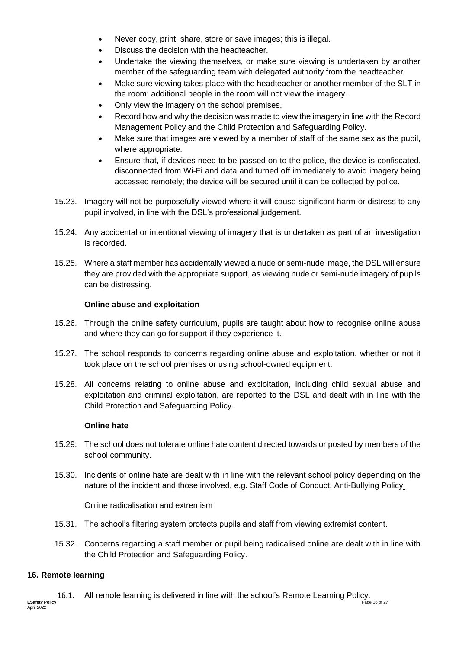- Never copy, print, share, store or save images; this is illegal.
- Discuss the decision with the headteacher.
- Undertake the viewing themselves, or make sure viewing is undertaken by another member of the safeguarding team with delegated authority from the headteacher.
- Make sure viewing takes place with the headteacher or another member of the SLT in the room; additional people in the room will not view the imagery.
- Only view the imagery on the school premises.
- Record how and why the decision was made to view the imagery in line with the Record Management Policy and the Child Protection and Safeguarding Policy.
- Make sure that images are viewed by a member of staff of the same sex as the pupil, where appropriate.
- Ensure that, if devices need to be passed on to the police, the device is confiscated, disconnected from Wi-Fi and data and turned off immediately to avoid imagery being accessed remotely; the device will be secured until it can be collected by police.
- 15.23. Imagery will not be purposefully viewed where it will cause significant harm or distress to any pupil involved, in line with the DSL's professional judgement.
- 15.24. Any accidental or intentional viewing of imagery that is undertaken as part of an investigation is recorded.
- 15.25. Where a staff member has accidentally viewed a nude or semi-nude image, the DSL will ensure they are provided with the appropriate support, as viewing nude or semi-nude imagery of pupils can be distressing.

#### **Online abuse and exploitation**

- 15.26. Through the online safety curriculum, pupils are taught about how to recognise online abuse and where they can go for support if they experience it.
- 15.27. The school responds to concerns regarding online abuse and exploitation, whether or not it took place on the school premises or using school-owned equipment.
- 15.28. All concerns relating to online abuse and exploitation, including child sexual abuse and exploitation and criminal exploitation, are reported to the DSL and dealt with in line with the Child Protection and Safeguarding Policy.

#### **Online hate**

- 15.29. The school does not tolerate online hate content directed towards or posted by members of the school community.
- 15.30. Incidents of online hate are dealt with in line with the relevant school policy depending on the nature of the incident and those involved, e.g. Staff Code of Conduct, Anti-Bullying Policy.

Online radicalisation and extremism

- 15.31. The school's filtering system protects pupils and staff from viewing extremist content.
- 15.32. Concerns regarding a staff member or pupil being radicalised online are dealt with in line with the Child Protection and Safeguarding Policy.

# **16. Remote learning**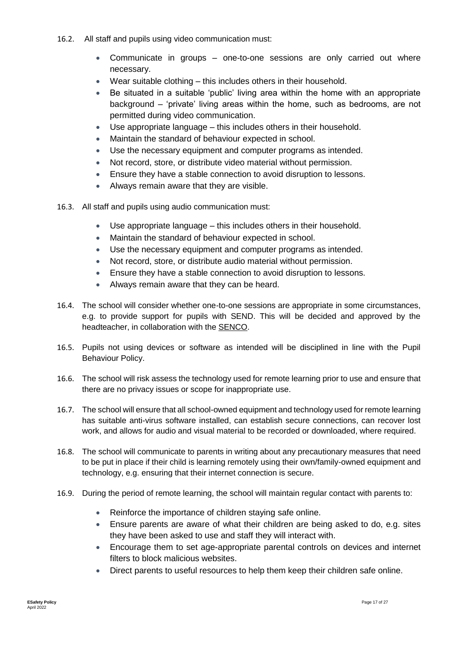- 16.2. All staff and pupils using video communication must:
	- Communicate in groups one-to-one sessions are only carried out where necessary.
	- Wear suitable clothing this includes others in their household.
	- Be situated in a suitable 'public' living area within the home with an appropriate background – 'private' living areas within the home, such as bedrooms, are not permitted during video communication.
	- Use appropriate language this includes others in their household.
	- Maintain the standard of behaviour expected in school.
	- Use the necessary equipment and computer programs as intended.
	- Not record, store, or distribute video material without permission.
	- Ensure they have a stable connection to avoid disruption to lessons.
	- Always remain aware that they are visible.
- 16.3. All staff and pupils using audio communication must:
	- Use appropriate language this includes others in their household.
	- Maintain the standard of behaviour expected in school.
	- Use the necessary equipment and computer programs as intended.
	- Not record, store, or distribute audio material without permission.
	- Ensure they have a stable connection to avoid disruption to lessons.
	- Always remain aware that they can be heard.
- 16.4. The school will consider whether one-to-one sessions are appropriate in some circumstances, e.g. to provide support for pupils with SEND. This will be decided and approved by the headteacher, in collaboration with the SENCO.
- 16.5. Pupils not using devices or software as intended will be disciplined in line with the Pupil Behaviour Policy.
- 16.6. The school will risk assess the technology used for remote learning prior to use and ensure that there are no privacy issues or scope for inappropriate use.
- 16.7. The school will ensure that all school-owned equipment and technology used for remote learning has suitable anti-virus software installed, can establish secure connections, can recover lost work, and allows for audio and visual material to be recorded or downloaded, where required.
- 16.8. The school will communicate to parents in writing about any precautionary measures that need to be put in place if their child is learning remotely using their own/family-owned equipment and technology, e.g. ensuring that their internet connection is secure.
- 16.9. During the period of remote learning, the school will maintain regular contact with parents to:
	- Reinforce the importance of children staying safe online.
	- Ensure parents are aware of what their children are being asked to do, e.g. sites they have been asked to use and staff they will interact with.
	- Encourage them to set age-appropriate parental controls on devices and internet filters to block malicious websites.
	- Direct parents to useful resources to help them keep their children safe online.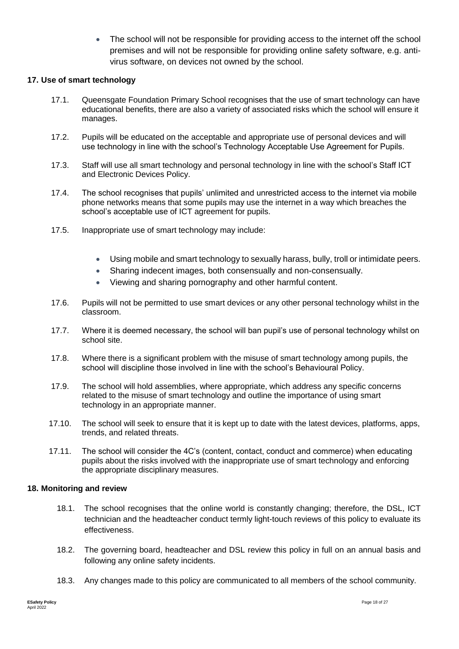• The school will not be responsible for providing access to the internet off the school premises and will not be responsible for providing online safety software, e.g. antivirus software, on devices not owned by the school.

#### **17. Use of smart technology**

- 17.1. Queensgate Foundation Primary School recognises that the use of smart technology can have educational benefits, there are also a variety of associated risks which the school will ensure it manages.
- 17.2. Pupils will be educated on the acceptable and appropriate use of personal devices and will use technology in line with the school's Technology Acceptable Use Agreement for Pupils.
- 17.3. Staff will use all smart technology and personal technology in line with the school's Staff ICT and Electronic Devices Policy.
- 17.4. The school recognises that pupils' unlimited and unrestricted access to the internet via mobile phone networks means that some pupils may use the internet in a way which breaches the school's acceptable use of ICT agreement for pupils.
- 17.5. Inappropriate use of smart technology may include:
	- Using mobile and smart technology to sexually harass, bully, troll or intimidate peers.
	- Sharing indecent images, both consensually and non-consensually.
	- Viewing and sharing pornography and other harmful content.
- 17.6. Pupils will not be permitted to use smart devices or any other personal technology whilst in the classroom.
- 17.7. Where it is deemed necessary, the school will ban pupil's use of personal technology whilst on school site.
- 17.8. Where there is a significant problem with the misuse of smart technology among pupils, the school will discipline those involved in line with the school's Behavioural Policy.
- 17.9. The school will hold assemblies, where appropriate, which address any specific concerns related to the misuse of smart technology and outline the importance of using smart technology in an appropriate manner.
- 17.10. The school will seek to ensure that it is kept up to date with the latest devices, platforms, apps, trends, and related threats.
- 17.11. The school will consider the 4C's (content, contact, conduct and commerce) when educating pupils about the risks involved with the inappropriate use of smart technology and enforcing the appropriate disciplinary measures.

#### **18. Monitoring and review**

- 18.1. The school recognises that the online world is constantly changing; therefore, the DSL, ICT technician and the headteacher conduct termly light-touch reviews of this policy to evaluate its effectiveness.
- 18.2. The governing board, headteacher and DSL review this policy in full on an annual basis and following any online safety incidents.
- 18.3. Any changes made to this policy are communicated to all members of the school community.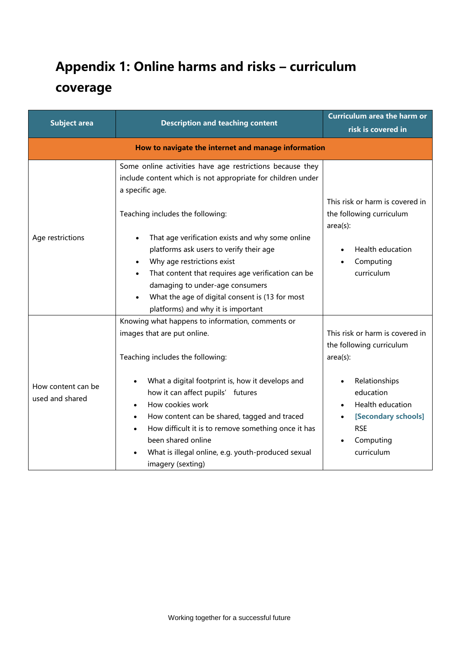# **Appendix 1: Online harms and risks – curriculum coverage**

| <b>Subject area</b>                   | <b>Description and teaching content</b>                                                                                                                                                                                                                                                                                                                                                                                                                                                                     | <b>Curriculum area the harm or</b><br>risk is covered in                                                                                                                                     |
|---------------------------------------|-------------------------------------------------------------------------------------------------------------------------------------------------------------------------------------------------------------------------------------------------------------------------------------------------------------------------------------------------------------------------------------------------------------------------------------------------------------------------------------------------------------|----------------------------------------------------------------------------------------------------------------------------------------------------------------------------------------------|
|                                       | How to navigate the internet and manage information                                                                                                                                                                                                                                                                                                                                                                                                                                                         |                                                                                                                                                                                              |
| Age restrictions                      | Some online activities have age restrictions because they<br>include content which is not appropriate for children under<br>a specific age.<br>Teaching includes the following:<br>That age verification exists and why some online<br>platforms ask users to verify their age<br>Why age restrictions exist<br>That content that requires age verification can be<br>$\bullet$<br>damaging to under-age consumers<br>What the age of digital consent is (13 for most<br>platforms) and why it is important | This risk or harm is covered in<br>the following curriculum<br>$area(s)$ :<br>Health education<br>Computing<br>curriculum                                                                    |
| How content can be<br>used and shared | Knowing what happens to information, comments or<br>images that are put online.<br>Teaching includes the following:<br>What a digital footprint is, how it develops and<br>how it can affect pupils' futures<br>How cookies work<br>How content can be shared, tagged and traced<br>$\bullet$<br>How difficult it is to remove something once it has<br>been shared online<br>What is illegal online, e.g. youth-produced sexual<br>imagery (sexting)                                                       | This risk or harm is covered in<br>the following curriculum<br>$area(s)$ :<br>Relationships<br>education<br>Health education<br>[Secondary schools]<br><b>RSE</b><br>Computing<br>curriculum |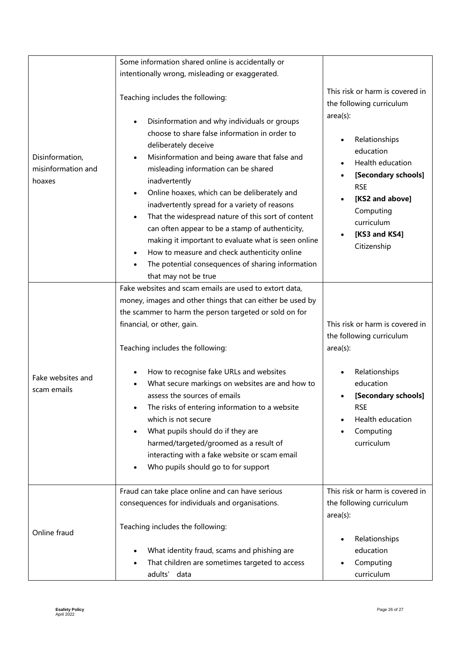|                                                 | Some information shared online is accidentally or                                                                                                                                                                                                                                                                                                                                                                                                                                                                                                                                                                                            |                                                                                                                                                                                  |
|-------------------------------------------------|----------------------------------------------------------------------------------------------------------------------------------------------------------------------------------------------------------------------------------------------------------------------------------------------------------------------------------------------------------------------------------------------------------------------------------------------------------------------------------------------------------------------------------------------------------------------------------------------------------------------------------------------|----------------------------------------------------------------------------------------------------------------------------------------------------------------------------------|
|                                                 | intentionally wrong, misleading or exaggerated.                                                                                                                                                                                                                                                                                                                                                                                                                                                                                                                                                                                              |                                                                                                                                                                                  |
|                                                 | Teaching includes the following:                                                                                                                                                                                                                                                                                                                                                                                                                                                                                                                                                                                                             | This risk or harm is covered in<br>the following curriculum                                                                                                                      |
| Disinformation,<br>misinformation and<br>hoaxes | Disinformation and why individuals or groups<br>$\bullet$<br>choose to share false information in order to<br>deliberately deceive<br>Misinformation and being aware that false and<br>$\bullet$<br>misleading information can be shared<br>inadvertently<br>Online hoaxes, which can be deliberately and<br>inadvertently spread for a variety of reasons<br>That the widespread nature of this sort of content<br>$\bullet$<br>can often appear to be a stamp of authenticity,<br>making it important to evaluate what is seen online<br>How to measure and check authenticity online<br>The potential consequences of sharing information | $area(s)$ :<br>Relationships<br>education<br>Health education<br>[Secondary schools]<br><b>RSE</b><br>[KS2 and above]<br>Computing<br>curriculum<br>[KS3 and KS4]<br>Citizenship |
|                                                 | that may not be true<br>Fake websites and scam emails are used to extort data,<br>money, images and other things that can either be used by<br>the scammer to harm the person targeted or sold on for<br>financial, or other, gain.<br>Teaching includes the following:                                                                                                                                                                                                                                                                                                                                                                      | This risk or harm is covered in<br>the following curriculum<br>$area(s)$ :                                                                                                       |
| Fake websites and<br>scam emails                | How to recognise fake URLs and websites<br>What secure markings on websites are and how to<br>assess the sources of emails<br>The risks of entering information to a website<br>which is not secure<br>What pupils should do if they are<br>$\bullet$<br>harmed/targeted/groomed as a result of<br>interacting with a fake website or scam email<br>Who pupils should go to for support                                                                                                                                                                                                                                                      | Relationships<br>education<br>[Secondary schools]<br><b>RSE</b><br>Health education<br>Computing<br>curriculum                                                                   |
| Online fraud                                    | Fraud can take place online and can have serious<br>consequences for individuals and organisations.<br>Teaching includes the following:                                                                                                                                                                                                                                                                                                                                                                                                                                                                                                      | This risk or harm is covered in<br>the following curriculum<br>$area(s)$ :                                                                                                       |
|                                                 | What identity fraud, scams and phishing are<br>That children are sometimes targeted to access<br>adults' data                                                                                                                                                                                                                                                                                                                                                                                                                                                                                                                                | Relationships<br>education<br>Computing<br>curriculum                                                                                                                            |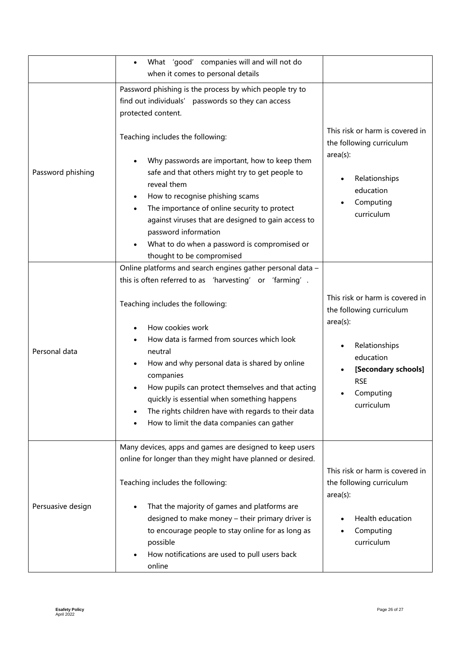|                   | What 'good' companies will and will not do                                                                                                                                                                                                                                                                                                                                                                                                                                                                    |                                                                                                                                                                          |
|-------------------|---------------------------------------------------------------------------------------------------------------------------------------------------------------------------------------------------------------------------------------------------------------------------------------------------------------------------------------------------------------------------------------------------------------------------------------------------------------------------------------------------------------|--------------------------------------------------------------------------------------------------------------------------------------------------------------------------|
|                   | when it comes to personal details                                                                                                                                                                                                                                                                                                                                                                                                                                                                             |                                                                                                                                                                          |
|                   | Password phishing is the process by which people try to<br>find out individuals' passwords so they can access<br>protected content.                                                                                                                                                                                                                                                                                                                                                                           |                                                                                                                                                                          |
| Password phishing | Teaching includes the following:<br>Why passwords are important, how to keep them<br>safe and that others might try to get people to<br>reveal them<br>How to recognise phishing scams<br>The importance of online security to protect<br>against viruses that are designed to gain access to<br>password information<br>What to do when a password is compromised or<br>thought to be compromised                                                                                                            | This risk or harm is covered in<br>the following curriculum<br>$area(s)$ :<br>Relationships<br>education<br>Computing<br>curriculum                                      |
| Personal data     | Online platforms and search engines gather personal data -<br>this is often referred to as 'harvesting' or 'farming'.<br>Teaching includes the following:<br>How cookies work<br>How data is farmed from sources which look<br>neutral<br>How and why personal data is shared by online<br>companies<br>How pupils can protect themselves and that acting<br>quickly is essential when something happens<br>The rights children have with regards to their data<br>How to limit the data companies can gather | This risk or harm is covered in<br>the following curriculum<br>$area(s)$ :<br>Relationships<br>education<br>[Secondary schools]<br><b>RSE</b><br>Computing<br>curriculum |
| Persuasive design | Many devices, apps and games are designed to keep users<br>online for longer than they might have planned or desired.<br>Teaching includes the following:<br>That the majority of games and platforms are<br>designed to make money - their primary driver is<br>to encourage people to stay online for as long as<br>possible<br>How notifications are used to pull users back<br>online                                                                                                                     | This risk or harm is covered in<br>the following curriculum<br>$area(s)$ :<br>Health education<br>Computing<br>curriculum                                                |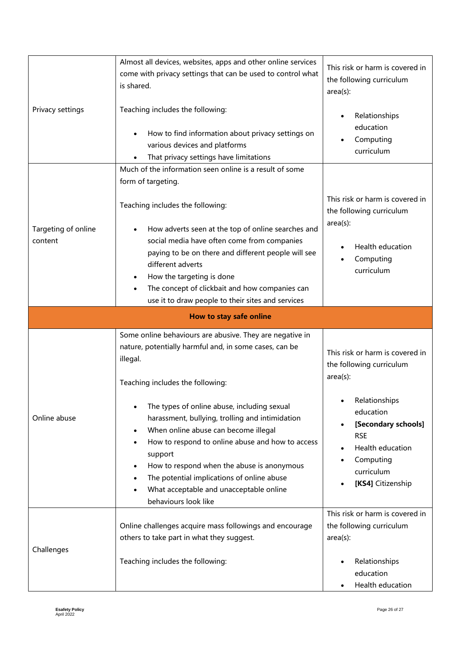|                                | Almost all devices, websites, apps and other online services<br>come with privacy settings that can be used to control what<br>is shared.                                                                                                                                                                                          | This risk or harm is covered in<br>the following curriculum<br>$area(s)$ :                               |
|--------------------------------|------------------------------------------------------------------------------------------------------------------------------------------------------------------------------------------------------------------------------------------------------------------------------------------------------------------------------------|----------------------------------------------------------------------------------------------------------|
| Privacy settings               | Teaching includes the following:<br>How to find information about privacy settings on<br>various devices and platforms<br>That privacy settings have limitations                                                                                                                                                                   | Relationships<br>education<br>Computing<br>curriculum                                                    |
|                                | Much of the information seen online is a result of some<br>form of targeting.                                                                                                                                                                                                                                                      |                                                                                                          |
|                                | Teaching includes the following:                                                                                                                                                                                                                                                                                                   | This risk or harm is covered in<br>the following curriculum                                              |
| Targeting of online<br>content | How adverts seen at the top of online searches and<br>social media have often come from companies<br>paying to be on there and different people will see<br>different adverts<br>How the targeting is done<br>٠<br>The concept of clickbait and how companies can<br>use it to draw people to their sites and services             | $area(s)$ :<br>Health education<br>Computing<br>curriculum                                               |
|                                | How to stay safe online                                                                                                                                                                                                                                                                                                            |                                                                                                          |
|                                |                                                                                                                                                                                                                                                                                                                                    |                                                                                                          |
|                                | Some online behaviours are abusive. They are negative in<br>nature, potentially harmful and, in some cases, can be<br>illegal.<br>Teaching includes the following:<br>The types of online abuse, including sexual                                                                                                                  | This risk or harm is covered in<br>the following curriculum<br>$area(s)$ :<br>Relationships<br>education |
| Online abuse                   | harassment, bullying, trolling and intimidation<br>When online abuse can become illegal<br>How to respond to online abuse and how to access<br>support<br>How to respond when the abuse is anonymous<br>The potential implications of online abuse<br>$\bullet$<br>What acceptable and unacceptable online<br>behaviours look like | [Secondary schools]<br><b>RSE</b><br>Health education<br>Computing<br>curriculum<br>[KS4] Citizenship    |
| Challenges                     | Online challenges acquire mass followings and encourage<br>others to take part in what they suggest.                                                                                                                                                                                                                               | This risk or harm is covered in<br>the following curriculum<br>$area(s)$ :                               |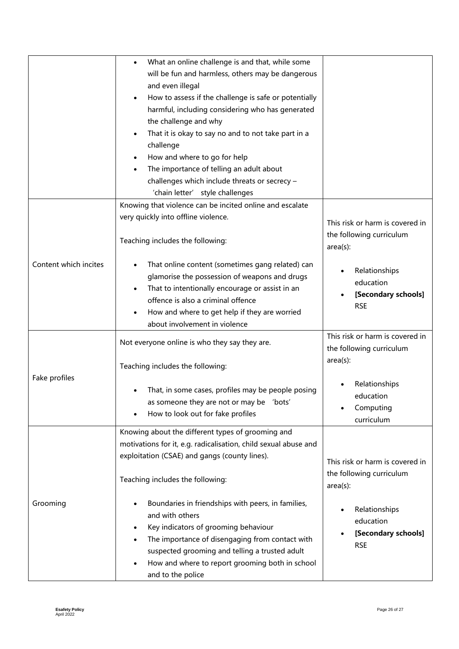|                       | What an online challenge is and that, while some<br>will be fun and harmless, others may be dangerous<br>and even illegal<br>How to assess if the challenge is safe or potentially<br>$\bullet$<br>harmful, including considering who has generated<br>the challenge and why<br>That it is okay to say no and to not take part in a<br>challenge<br>How and where to go for help<br>The importance of telling an adult about<br>challenges which include threats or secrecy -<br>'chain letter' style challenges |                                                                                                                                               |
|-----------------------|------------------------------------------------------------------------------------------------------------------------------------------------------------------------------------------------------------------------------------------------------------------------------------------------------------------------------------------------------------------------------------------------------------------------------------------------------------------------------------------------------------------|-----------------------------------------------------------------------------------------------------------------------------------------------|
| Content which incites | Knowing that violence can be incited online and escalate<br>very quickly into offline violence.<br>Teaching includes the following:<br>That online content (sometimes gang related) can<br>glamorise the possession of weapons and drugs<br>That to intentionally encourage or assist in an<br>offence is also a criminal offence<br>How and where to get help if they are worried<br>about involvement in violence                                                                                              | This risk or harm is covered in<br>the following curriculum<br>$area(s)$ :<br>Relationships<br>education<br>[Secondary schools]<br><b>RSE</b> |
| Fake profiles         | Not everyone online is who they say they are.<br>Teaching includes the following:<br>That, in some cases, profiles may be people posing<br>as someone they are not or may be 'bots'<br>How to look out for fake profiles                                                                                                                                                                                                                                                                                         | This risk or harm is covered in<br>the following curriculum<br>$area(s)$ :<br>Relationships<br>education<br>Computing<br>curriculum           |
| Grooming              | Knowing about the different types of grooming and<br>motivations for it, e.g. radicalisation, child sexual abuse and<br>exploitation (CSAE) and gangs (county lines).<br>Teaching includes the following:<br>Boundaries in friendships with peers, in families,<br>and with others<br>Key indicators of grooming behaviour<br>The importance of disengaging from contact with<br>suspected grooming and telling a trusted adult<br>How and where to report grooming both in school<br>and to the police          | This risk or harm is covered in<br>the following curriculum<br>$area(s)$ :<br>Relationships<br>education<br>[Secondary schools]<br><b>RSE</b> |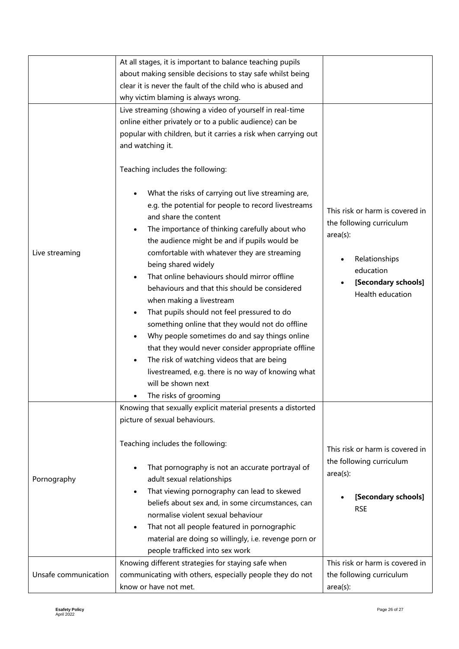|                      | At all stages, it is important to balance teaching pupils                                                                                                                                                                                                                                                                                                                                                                                                                                                                                                                                                                                                                                                                                                                                            |                                                                                                                                                     |
|----------------------|------------------------------------------------------------------------------------------------------------------------------------------------------------------------------------------------------------------------------------------------------------------------------------------------------------------------------------------------------------------------------------------------------------------------------------------------------------------------------------------------------------------------------------------------------------------------------------------------------------------------------------------------------------------------------------------------------------------------------------------------------------------------------------------------------|-----------------------------------------------------------------------------------------------------------------------------------------------------|
|                      | about making sensible decisions to stay safe whilst being                                                                                                                                                                                                                                                                                                                                                                                                                                                                                                                                                                                                                                                                                                                                            |                                                                                                                                                     |
|                      | clear it is never the fault of the child who is abused and                                                                                                                                                                                                                                                                                                                                                                                                                                                                                                                                                                                                                                                                                                                                           |                                                                                                                                                     |
|                      | why victim blaming is always wrong.                                                                                                                                                                                                                                                                                                                                                                                                                                                                                                                                                                                                                                                                                                                                                                  |                                                                                                                                                     |
|                      |                                                                                                                                                                                                                                                                                                                                                                                                                                                                                                                                                                                                                                                                                                                                                                                                      |                                                                                                                                                     |
|                      | Live streaming (showing a video of yourself in real-time                                                                                                                                                                                                                                                                                                                                                                                                                                                                                                                                                                                                                                                                                                                                             |                                                                                                                                                     |
|                      | online either privately or to a public audience) can be                                                                                                                                                                                                                                                                                                                                                                                                                                                                                                                                                                                                                                                                                                                                              |                                                                                                                                                     |
|                      | popular with children, but it carries a risk when carrying out                                                                                                                                                                                                                                                                                                                                                                                                                                                                                                                                                                                                                                                                                                                                       |                                                                                                                                                     |
|                      | and watching it.                                                                                                                                                                                                                                                                                                                                                                                                                                                                                                                                                                                                                                                                                                                                                                                     |                                                                                                                                                     |
|                      | Teaching includes the following:                                                                                                                                                                                                                                                                                                                                                                                                                                                                                                                                                                                                                                                                                                                                                                     |                                                                                                                                                     |
| Live streaming       | What the risks of carrying out live streaming are,<br>e.g. the potential for people to record livestreams<br>and share the content<br>The importance of thinking carefully about who<br>the audience might be and if pupils would be<br>comfortable with whatever they are streaming<br>being shared widely<br>That online behaviours should mirror offline<br>behaviours and that this should be considered<br>when making a livestream<br>That pupils should not feel pressured to do<br>something online that they would not do offline<br>Why people sometimes do and say things online<br>that they would never consider appropriate offline<br>The risk of watching videos that are being<br>livestreamed, e.g. there is no way of knowing what<br>will be shown next<br>The risks of grooming | This risk or harm is covered in<br>the following curriculum<br>$area(s)$ :<br>Relationships<br>education<br>[Secondary schools]<br>Health education |
|                      | Knowing that sexually explicit material presents a distorted                                                                                                                                                                                                                                                                                                                                                                                                                                                                                                                                                                                                                                                                                                                                         |                                                                                                                                                     |
|                      | picture of sexual behaviours.                                                                                                                                                                                                                                                                                                                                                                                                                                                                                                                                                                                                                                                                                                                                                                        |                                                                                                                                                     |
|                      | Teaching includes the following:<br>That pornography is not an accurate portrayal of                                                                                                                                                                                                                                                                                                                                                                                                                                                                                                                                                                                                                                                                                                                 | This risk or harm is covered in<br>the following curriculum<br>$area(s)$ :                                                                          |
| Pornography          | adult sexual relationships                                                                                                                                                                                                                                                                                                                                                                                                                                                                                                                                                                                                                                                                                                                                                                           |                                                                                                                                                     |
|                      | That viewing pornography can lead to skewed<br>$\bullet$                                                                                                                                                                                                                                                                                                                                                                                                                                                                                                                                                                                                                                                                                                                                             | [Secondary schools]                                                                                                                                 |
|                      | beliefs about sex and, in some circumstances, can                                                                                                                                                                                                                                                                                                                                                                                                                                                                                                                                                                                                                                                                                                                                                    | <b>RSE</b>                                                                                                                                          |
|                      | normalise violent sexual behaviour                                                                                                                                                                                                                                                                                                                                                                                                                                                                                                                                                                                                                                                                                                                                                                   |                                                                                                                                                     |
|                      | That not all people featured in pornographic<br>$\bullet$                                                                                                                                                                                                                                                                                                                                                                                                                                                                                                                                                                                                                                                                                                                                            |                                                                                                                                                     |
|                      | material are doing so willingly, i.e. revenge porn or                                                                                                                                                                                                                                                                                                                                                                                                                                                                                                                                                                                                                                                                                                                                                |                                                                                                                                                     |
|                      | people trafficked into sex work                                                                                                                                                                                                                                                                                                                                                                                                                                                                                                                                                                                                                                                                                                                                                                      |                                                                                                                                                     |
|                      | Knowing different strategies for staying safe when                                                                                                                                                                                                                                                                                                                                                                                                                                                                                                                                                                                                                                                                                                                                                   | This risk or harm is covered in                                                                                                                     |
| Unsafe communication | communicating with others, especially people they do not                                                                                                                                                                                                                                                                                                                                                                                                                                                                                                                                                                                                                                                                                                                                             | the following curriculum                                                                                                                            |
|                      | know or have not met.                                                                                                                                                                                                                                                                                                                                                                                                                                                                                                                                                                                                                                                                                                                                                                                | $area(s)$ :                                                                                                                                         |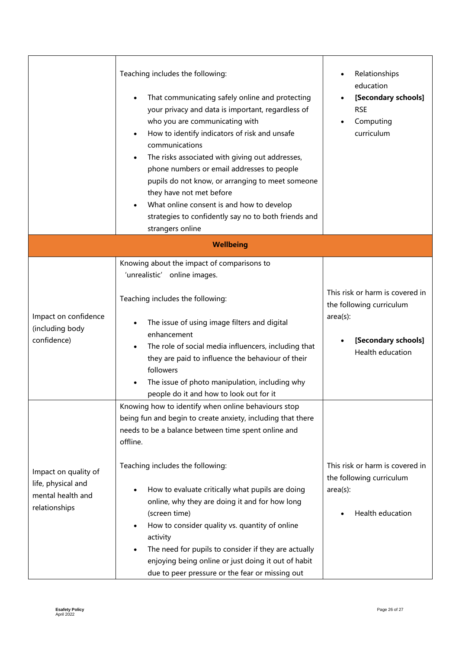|                                                                                  | Teaching includes the following:<br>That communicating safely online and protecting<br>your privacy and data is important, regardless of<br>who you are communicating with<br>How to identify indicators of risk and unsafe<br>communications<br>The risks associated with giving out addresses,<br>phone numbers or email addresses to people<br>pupils do not know, or arranging to meet someone<br>they have not met before<br>What online consent is and how to develop<br>strategies to confidently say no to both friends and<br>strangers online                          | Relationships<br>education<br>[Secondary schools]<br><b>RSE</b><br>Computing<br>curriculum                            |
|----------------------------------------------------------------------------------|----------------------------------------------------------------------------------------------------------------------------------------------------------------------------------------------------------------------------------------------------------------------------------------------------------------------------------------------------------------------------------------------------------------------------------------------------------------------------------------------------------------------------------------------------------------------------------|-----------------------------------------------------------------------------------------------------------------------|
|                                                                                  | <b>Wellbeing</b>                                                                                                                                                                                                                                                                                                                                                                                                                                                                                                                                                                 |                                                                                                                       |
| Impact on confidence<br>(including body<br>confidence)                           | Knowing about the impact of comparisons to<br>'unrealistic' online images.<br>Teaching includes the following:<br>The issue of using image filters and digital<br>enhancement<br>The role of social media influencers, including that<br>they are paid to influence the behaviour of their<br>followers<br>The issue of photo manipulation, including why<br>people do it and how to look out for it                                                                                                                                                                             | This risk or harm is covered in<br>the following curriculum<br>$area(s)$ :<br>[Secondary schools]<br>Health education |
| Impact on quality of<br>life, physical and<br>mental health and<br>relationships | Knowing how to identify when online behaviours stop<br>being fun and begin to create anxiety, including that there<br>needs to be a balance between time spent online and<br>offline.<br>Teaching includes the following:<br>How to evaluate critically what pupils are doing<br>online, why they are doing it and for how long<br>(screen time)<br>How to consider quality vs. quantity of online<br>activity<br>The need for pupils to consider if they are actually<br>enjoying being online or just doing it out of habit<br>due to peer pressure or the fear or missing out | This risk or harm is covered in<br>the following curriculum<br>$area(s)$ :<br>Health education                        |